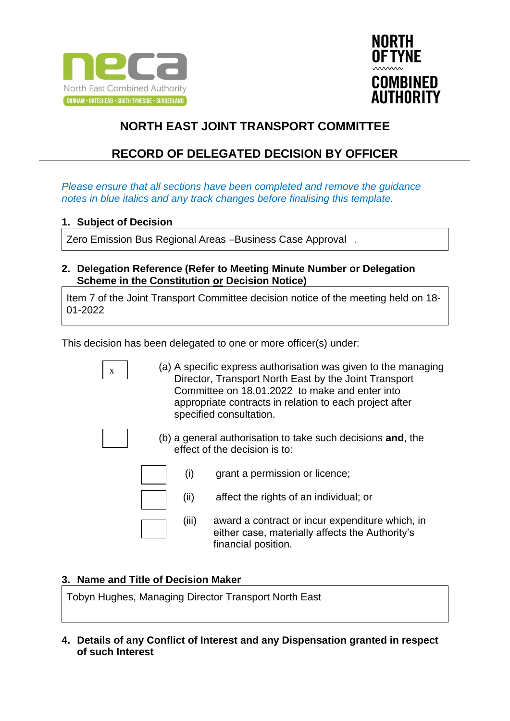



# **RECORD OF DELEGATED DECISION BY OFFICER**

*Please ensure that all sections have been completed and remove the guidance notes in blue italics and any track changes before finalising this template.*

### **1. Subject of Decision**

Zero Emission Bus Regional Areas –Business Case Approval *.*

**2. Delegation Reference (Refer to Meeting Minute Number or Delegation Scheme in the Constitution or Decision Notice)**

Item 7 of the Joint Transport Committee decision notice of the meeting held on 18- 01-2022

This decision has been delegated to one or more officer(s) under:

(a) A specific express authorisation was given to the managing Director, Transport North East by the Joint Transport Committee on 18.01.2022 to make and enter into appropriate contracts in relation to each project after specified consultation. (b) a general authorisation to take such decisions **and**, the effect of the decision is to: (i) grant a permission or licence; (ii) affect the rights of an individual; or (iii) award a contract or incur expenditure which, in either case, materially affects the Authority's financial position. x

#### **3. Name and Title of Decision Maker**

Tobyn Hughes, Managing Director Transport North East

**4. Details of any Conflict of Interest and any Dispensation granted in respect of such Interest**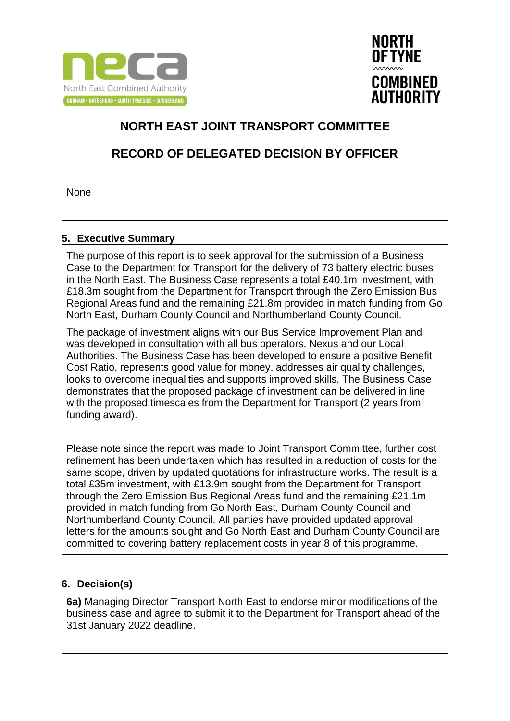



## **RECORD OF DELEGATED DECISION BY OFFICER**

None

#### **5. Executive Summary**

The purpose of this report is to seek approval for the submission of a Business Case to the Department for Transport for the delivery of 73 battery electric buses in the North East. The Business Case represents a total £40.1m investment, with £18.3m sought from the Department for Transport through the Zero Emission Bus Regional Areas fund and the remaining £21.8m provided in match funding from Go North East, Durham County Council and Northumberland County Council.

The package of investment aligns with our Bus Service Improvement Plan and was developed in consultation with all bus operators, Nexus and our Local Authorities. The Business Case has been developed to ensure a positive Benefit Cost Ratio, represents good value for money, addresses air quality challenges, looks to overcome inequalities and supports improved skills. The Business Case demonstrates that the proposed package of investment can be delivered in line with the proposed timescales from the Department for Transport (2 years from funding award).

Please note since the report was made to Joint Transport Committee, further cost refinement has been undertaken which has resulted in a reduction of costs for the same scope, driven by updated quotations for infrastructure works. The result is a total £35m investment, with £13.9m sought from the Department for Transport through the Zero Emission Bus Regional Areas fund and the remaining £21.1m provided in match funding from Go North East, Durham County Council and Northumberland County Council. All parties have provided updated approval letters for the amounts sought and Go North East and Durham County Council are committed to covering battery replacement costs in year 8 of this programme.

#### **6. Decision(s)**

**6a)** Managing Director Transport North East to endorse minor modifications of the business case and agree to submit it to the Department for Transport ahead of the 31st January 2022 deadline.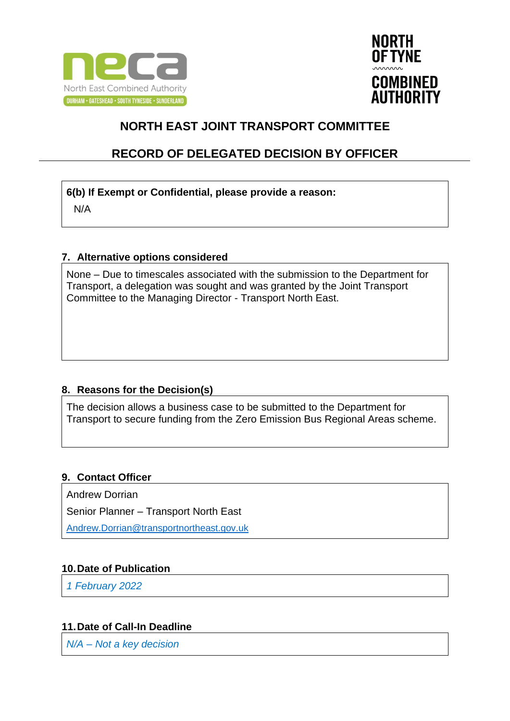



### **RECORD OF DELEGATED DECISION BY OFFICER**

#### **6(b) If Exempt or Confidential, please provide a reason:**

N/A

#### **7. Alternative options considered**

None – Due to timescales associated with the submission to the Department for Transport, a delegation was sought and was granted by the Joint Transport Committee to the Managing Director - Transport North East.

### **8. Reasons for the Decision(s)**

The decision allows a business case to be submitted to the Department for Transport to secure funding from the Zero Emission Bus Regional Areas scheme.

### **9. Contact Officer**

Andrew Dorrian

Senior Planner – Transport North East

[Andrew.Dorrian@transportnortheast.gov.uk](mailto:Andrew.Dorrian@transportnortheast.gov.uk)

### **10.Date of Publication**

*1 February 2022*

### **11.Date of Call-In Deadline**

*N/A – Not a key decision*